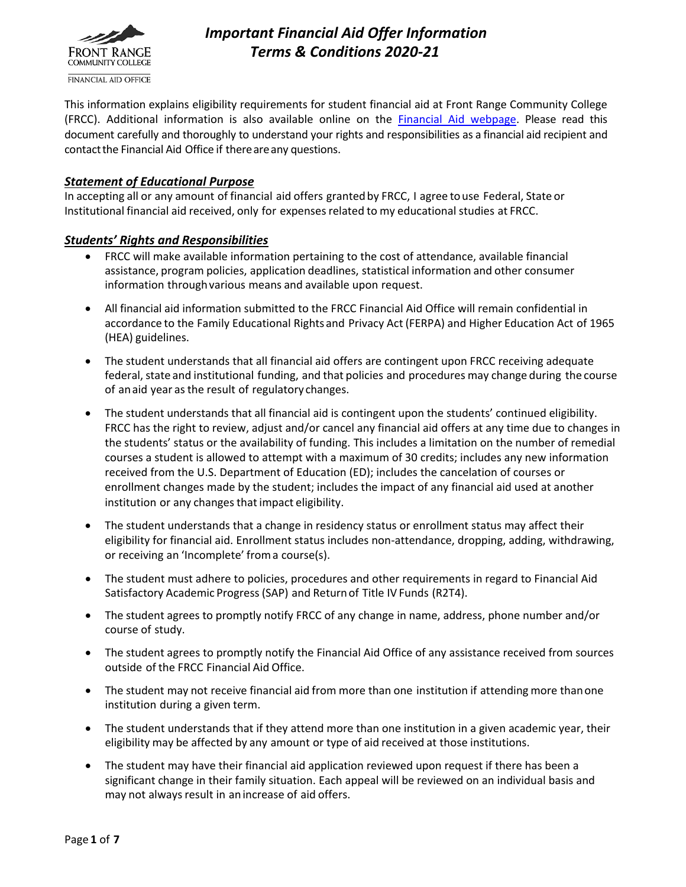

# *Important Financial Aid Offer Information Terms & Conditions 2020-21*

This information explains eligibility requirements for student financial aid at Front Range Community College (FRCC). Additional information is also available online on the [Financial Aid webpage.](https://www.frontrange.edu/paying-for-college/financial-aid) Please read this document carefully and thoroughly to understand your rights and responsibilities as a financial aid recipient and contact the Financial Aid Office if there are any questions.

#### *Statement of Educational Purpose*

In accepting all or any amount of financial aid offers granted by FRCC, I agree to use Federal, State or Institutional financial aid received, only for expensesrelated to my educational studies at FRCC.

#### *Students' Rights and Responsibilities*

- FRCC will make available information pertaining to the cost of attendance, available financial assistance, program policies, application deadlines, statistical information and other consumer information through various means and available upon request.
- All financial aid information submitted to the FRCC Financial Aid Office will remain confidential in accordance to the Family Educational Rights and Privacy Act (FERPA) and Higher Education Act of 1965 (HEA) guidelines.
- The student understands that all financial aid offers are contingent upon FRCC receiving adequate federal, state and institutional funding, and that policies and procedures may change during the course of anaid year asthe result of regulatory changes.
- The student understands that all financial aid is contingent upon the students' continued eligibility. FRCC has the right to review, adjust and/or cancel any financial aid offers at any time due to changes in the students' status or the availability of funding. This includes a limitation on the number of remedial courses a student is allowed to attempt with a maximum of 30 credits; includes any new information received from the U.S. Department of Education (ED); includes the cancelation of courses or enrollment changes made by the student; includes the impact of any financial aid used at another institution or any changes that impact eligibility.
- The student understands that a change in residency status or enrollment status may affect their eligibility for financial aid. Enrollment status includes non-attendance, dropping, adding, withdrawing, or receiving an 'Incomplete' froma course(s).
- The student must adhere to policies, procedures and other requirements in regard to Financial Aid Satisfactory Academic Progress(SAP) and Returnof Title IV Funds (R2T4).
- The student agrees to promptly notify FRCC of any change in name, address, phone number and/or course of study.
- The student agrees to promptly notify the Financial Aid Office of any assistance received from sources outside of the FRCC Financial Aid Office.
- The student may not receive financial aid from more than one institution if attending more thanone institution during a given term.
- The student understands that if they attend more than one institution in a given academic year, their eligibility may be affected by any amount or type of aid received at those institutions.
- The student may have their financial aid application reviewed upon request if there has been a significant change in their family situation. Each appeal will be reviewed on an individual basis and may not always result in an increase of aid offers.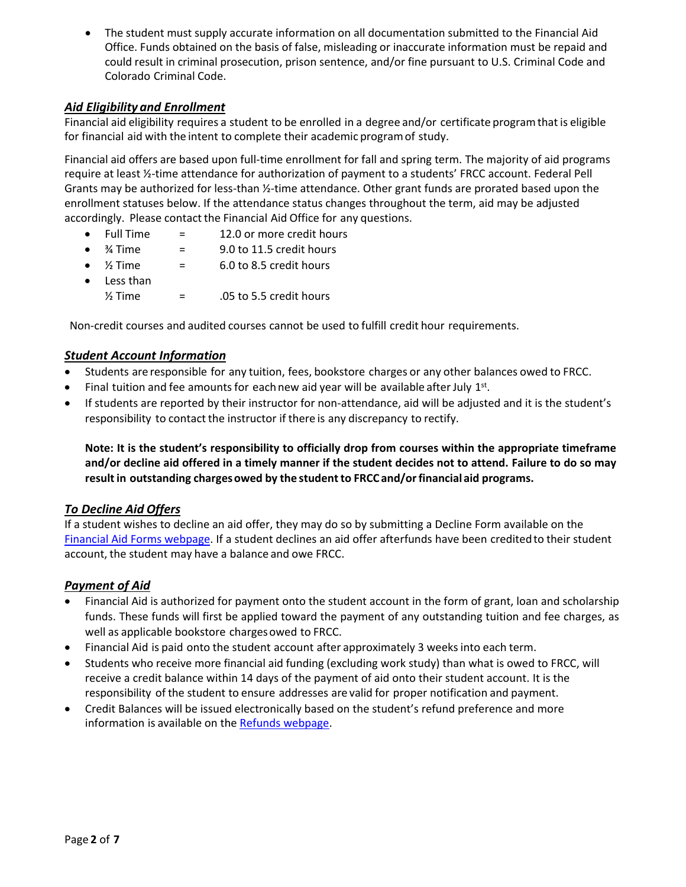• The student must supply accurate information on all documentation submitted to the Financial Aid Office. Funds obtained on the basis of false, misleading or inaccurate information must be repaid and could result in criminal prosecution, prison sentence, and/or fine pursuant to U.S. Criminal Code and Colorado Criminal Code.

# *Aid Eligibility and Enrollment*

Financial aid eligibility requires a student to be enrolled in a degree and/or certificate programthat is eligible for financial aid with the intent to complete their academic programof study.

Financial aid offers are based upon full-time enrollment for fall and spring term. The majority of aid programs require at least ½-time attendance for authorization of payment to a students' FRCC account. Federal Pell Grants may be authorized for less-than ½-time attendance. Other grant funds are prorated based upon the enrollment statuses below. If the attendance status changes throughout the term, aid may be adjusted accordingly. Please contact the Financial Aid Office for any questions.

- Full Time = 12.0 or more credit hours
- $\frac{3}{4}$  Time  $=$  9.0 to 11.5 credit hours
- $\frac{1}{2}$  Time  $=$  6.0 to 8.5 credit hours
- Less than  $\frac{1}{2}$  Time  $\qquad \qquad = \qquad .05$  to 5.5 credit hours

Non-credit courses and audited courses cannot be used to fulfill credit hour requirements.

### *Student Account Information*

- Students are responsible for any tuition, fees, bookstore charges or any other balances owed to FRCC.
- $\bullet$  Final tuition and fee amounts for each new aid year will be available after July 1st.
- If students are reported by their instructor for non-attendance, aid will be adjusted and it is the student's responsibility to contact the instructor if there is any discrepancy to rectify.

**Note: It is the student's responsibility to officially drop from courses within the appropriate timeframe and/or decline aid offered in a timely manner if the student decides not to attend. Failure to do so may resultin outstanding chargesowed by the studentto FRCC and/orfinancial aid programs.**

#### *To Decline Aid Offers*

If a student wishes to decline an aid offer, they may do so by submitting a Decline Form available on the [Financial Aid Forms webpage.](https://www.frontrange.edu/paying-for-college/financial-aid/forms) If a student declines an aid offer afterfunds have been creditedto their student account, the student may have a balance and owe FRCC.

# *Payment of Aid*

- Financial Aid is authorized for payment onto the student account in the form of grant, loan and scholarship funds. These funds will first be applied toward the payment of any outstanding tuition and fee charges, as well as applicable bookstore charges owed to FRCC.
- Financial Aid is paid onto the student account after approximately 3 weeksinto each term.
- Students who receive more financial aid funding (excluding work study) than what is owed to FRCC, will receive a credit balance within 14 days of the payment of aid onto their student account. It is the responsibility of the student to ensure addresses are valid for proper notification and payment.
- Credit Balances will be issued electronically based on the student's refund preference and more information is available on the [Refunds webpage.](https://www.frontrange.edu/paying-for-college/refunds)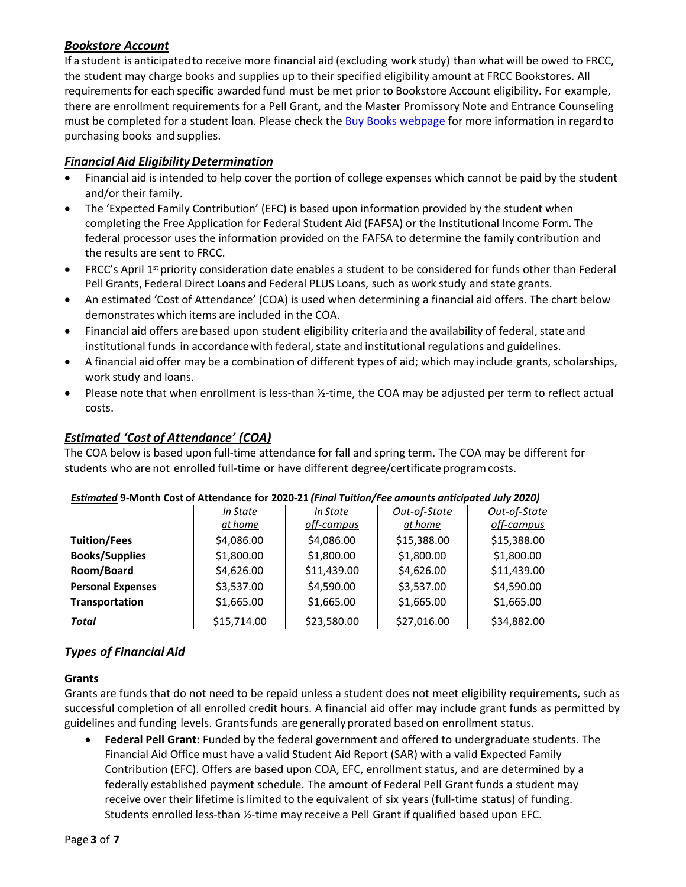# *Bookstore Account*

If a student is anticipatedto receive more financial aid (excluding work study) than what will be owed to FRCC, the student may charge books and supplies up to their specified eligibility amount at FRCC Bookstores. All requirements for each specific awarded fund must be met prior to Bookstore Account eligibility. For example, there are enrollment requirements for a Pell Grant, and the Master Promissory Note and Entrance Counseling must be completed for a student loan. Please check the [Buy Books webpage](https://www.frontrange.edu/paying-for-college/buying-books) for more information in regard to purchasing books and supplies.

# *Financial Aid EligibilityDetermination*

- Financial aid is intended to help cover the portion of college expenses which cannot be paid by the student and/or their family.
- The 'Expected Family Contribution' (EFC) is based upon information provided by the student when completing the Free Application for Federal Student Aid (FAFSA) or the Institutional Income Form. The federal processor uses the information provided on the FAFSA to determine the family contribution and the results are sent to FRCC.
- FRCC's April 1<sup>st</sup> priority consideration date enables a student to be considered for funds other than Federal Pell Grants, Federal Direct Loans and Federal PLUS Loans, such as work study and state grants.
- An estimated 'Cost of Attendance' (COA) is used when determining a financial aid offers. The chart below demonstrates which items are included in the COA.
- Financial aid offers are based upon student eligibility criteria and the availability of federal, state and institutional funds in accordance with federal, state and institutional regulations and guidelines.
- A financial aid offer may be a combination of different types of aid; which may include grants, scholarships, work study and loans.
- Please note that when enrollment is less-than 1/2-time, the COA may be adjusted per term to reflect actual costs.

# *Estimated 'Cost of Attendance' (COA)*

The COA below is based upon full-time attendance for fall and spring term. The COA may be different for students who are not enrolled full-time or have different degree/certificate programcosts.

|                          | In State<br>at home | In State<br>off-campus | Out-of-State<br>at home | Out-of-State<br>off-campus |
|--------------------------|---------------------|------------------------|-------------------------|----------------------------|
| <b>Tuition/Fees</b>      | \$4,086.00          | \$4,086.00             | \$15,388.00             | \$15,388.00                |
| <b>Books/Supplies</b>    | \$1,800.00          | \$1,800.00             | \$1,800.00              | \$1,800.00                 |
| Room/Board               | \$4,626.00          | \$11,439.00            | \$4,626.00              | \$11,439.00                |
| <b>Personal Expenses</b> | \$3,537.00          | \$4,590.00             | \$3,537.00              | \$4,590.00                 |
| Transportation           | \$1,665.00          | \$1,665.00             | \$1,665.00              | \$1,665.00                 |
| Total                    | \$15,714.00         | \$23,580.00            | \$27,016.00             | \$34,882.00                |

### *Estimated* **9-Month Cost of Attendance for 2020-21** *(Final Tuition/Fee amounts anticipated July 2020)*

# *Types of Financial Aid*

#### **Grants**

Grants are funds that do not need to be repaid unless a student does not meet eligibility requirements, such as successful completion of all enrolled credit hours. A financial aid offer may include grant funds as permitted by guidelines and funding levels. Grantsfunds are generallyprorated based on enrollment status.

• **Federal Pell Grant:** Funded by the federal government and offered to undergraduate students. The Financial Aid Office must have a valid Student Aid Report (SAR) with a valid Expected Family Contribution (EFC). Offers are based upon COA, EFC, enrollment status, and are determined by a federally established payment schedule. The amount of Federal Pell Grant funds a student may receive over their lifetime islimited to the equivalent of six years (full-time status) of funding. Students enrolled less-than ½-time may receive a Pell Grant if qualified based upon EFC.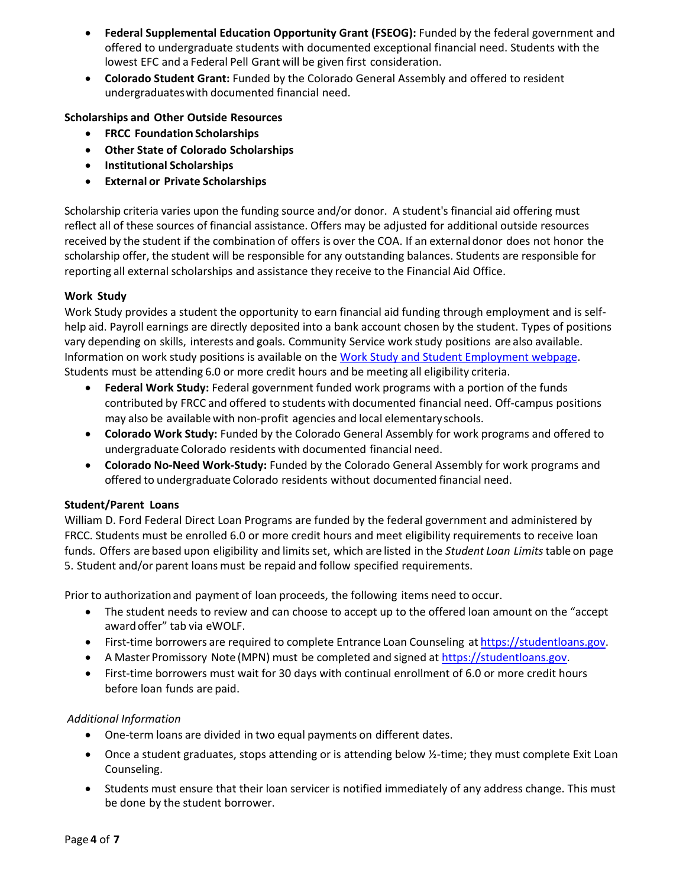- **Federal Supplemental Education Opportunity Grant (FSEOG):** Funded by the federal government and offered to undergraduate students with documented exceptional financial need. Students with the lowest EFC and a Federal Pell Grant will be given first consideration.
- **Colorado Student Grant:** Funded by the Colorado General Assembly and offered to resident undergraduateswith documented financial need.

### **Scholarships and Other Outside Resources**

- **FRCC Foundation Scholarships**
- **Other State of Colorado Scholarships**
- **Institutional Scholarships**
- **External or Private Scholarships**

Scholarship criteria varies upon the funding source and/or donor. A student's financial aid offering must reflect all of these sources of financial assistance. Offers may be adjusted for additional outside resources received by the student if the combination of offers is over the COA. If an externaldonor does not honor the scholarship offer, the student will be responsible for any outstanding balances. Students are responsible for reporting all external scholarships and assistance they receive to the Financial Aid Office.

### **Work Study**

Work Study provides a student the opportunity to earn financial aid funding through employment and is selfhelp aid. Payroll earnings are directly deposited into a bank account chosen by the student. Types of positions vary depending on skills, interests and goals. Community Service work study positions are also available. Information on work study positions is available on the [Work Study and Student Employment](https://www.frontrange.edu/paying-for-college/financial-aid/types-of-financial-aid/work-study-and-student-employment) webpage. Students must be attending 6.0 or more credit hours and be meeting all eligibility criteria.

- **Federal Work Study:** Federal government funded work programs with a portion of the funds contributed by FRCC and offered to students with documented financial need. Off-campus positions may also be available with non-profit agencies and local elementary schools.
- **Colorado Work Study:** Funded by the Colorado General Assembly for work programs and offered to undergraduate Colorado residents with documented financial need.
- **Colorado No-Need Work-Study:** Funded by the Colorado General Assembly for work programs and offered to undergraduate Colorado residents without documented financial need.

#### **Student/Parent Loans**

William D. Ford Federal Direct Loan Programs are funded by the federal government and administered by FRCC. Students must be enrolled 6.0 or more credit hours and meet eligibility requirements to receive loan funds. Offers are based upon eligibility and limitsset, which are listed in the *Student Loan Limits*table on page 5. Student and/or parent loans must be repaid and follow specified requirements.

Prior to authorizationand payment of loan proceeds, the following items need to occur.

- The student needs to review and can choose to accept up to the offered loan amount on the "accept awardoffer" tab via eWOLF.
- First-time borrowers are required to complete Entrance Loan Counseling at [https://studentloans.gov.](https://studentloans.gov/)
- A Master Promissory Note (MPN) must be completed and signed at [https://studentloans.gov.](https://studentloans.gov/)
- First-time borrowers must wait for 30 days with continual enrollment of 6.0 or more credit hours before loan funds are paid.

#### *Additional Information*

- One-term loans are divided in two equal payments on different dates.
- Once a student graduates, stops attending or is attending below  $\frac{1}{2}$ -time; they must complete Exit Loan Counseling.
- Students must ensure that their loan servicer is notified immediately of any address change. This must be done by the student borrower.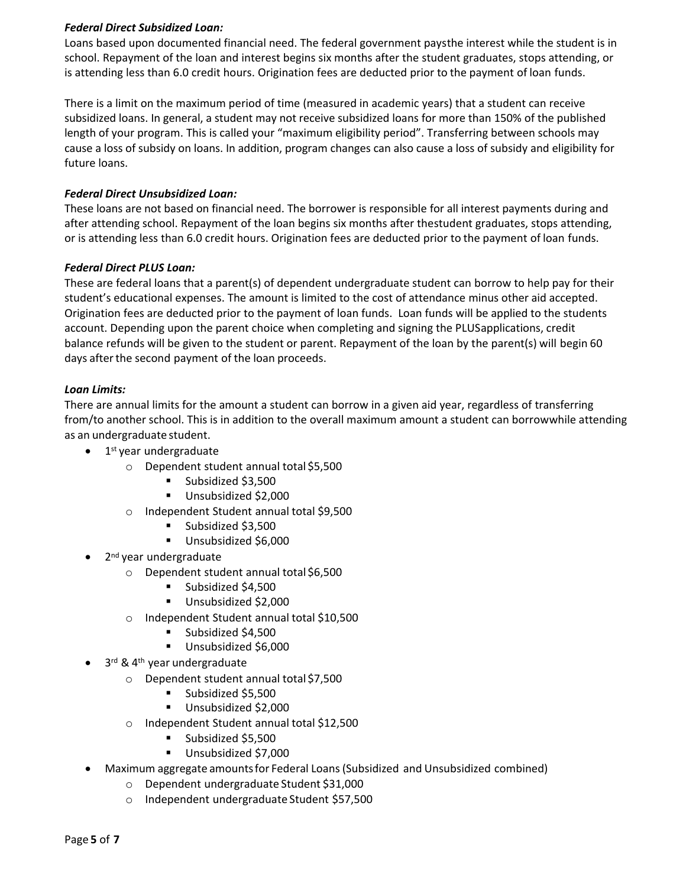### *Federal Direct Subsidized Loan:*

Loans based upon documented financial need. The federal government paysthe interest while the student is in school. Repayment of the loan and interest begins six months after the student graduates, stops attending, or is attending less than 6.0 credit hours. Origination fees are deducted prior to the payment of loan funds.

There is a limit on the maximum period of time (measured in academic years) that a student can receive subsidized loans. In general, a student may not receive subsidized loans for more than 150% of the published length of your program. This is called your "maximum eligibility period". Transferring between schools may cause a loss of subsidy on loans. In addition, program changes can also cause a loss of subsidy and eligibility for future loans.

#### *Federal Direct Unsubsidized Loan:*

These loans are not based on financial need. The borrower is responsible for all interest payments during and after attending school. Repayment of the loan begins six months after thestudent graduates, stops attending, or is attending less than 6.0 credit hours. Origination fees are deducted prior to the payment of loan funds.

#### *Federal Direct PLUS Loan:*

These are federal loans that a parent(s) of dependent undergraduate student can borrow to help pay for their student's educational expenses. The amount is limited to the cost of attendance minus other aid accepted. Origination fees are deducted prior to the payment of loan funds. Loan funds will be applied to the students account. Depending upon the parent choice when completing and signing the PLUSapplications, credit balance refunds will be given to the student or parent. Repayment of the loan by the parent(s) will begin 60 days after the second payment of the loan proceeds.

#### *Loan Limits:*

There are annual limits for the amount a student can borrow in a given aid year, regardless of transferring from/to another school. This is in addition to the overall maximum amount a student can borrowwhile attending as an undergraduate student.

- 1<sup>st</sup> year undergraduate
	- o Dependent student annual total \$5,500
		- Subsidized \$3,500
		- Unsubsidized \$2,000
	- o Independent Student annual total \$9,500
		- Subsidized \$3,500
		- Unsubsidized \$6,000
- 2<sup>nd</sup> year undergraduate
	- o Dependent student annual total \$6,500
		- Subsidized \$4,500
		- Unsubsidized \$2,000
	- o Independent Student annual total \$10,500
		- Subsidized \$4,500
		- Unsubsidized \$6,000
- 3<sup>rd</sup> & 4<sup>th</sup> year undergraduate
	- o Dependent student annual total \$7,500
		- Subsidized \$5,500
		- Unsubsidized \$2,000
		- o Independent Student annual total \$12,500
			- Subsidized \$5,500
			- Unsubsidized \$7,000
- Maximum aggregate amountsfor Federal Loans(Subsidized and Unsubsidized combined)
	- o Dependent undergraduate Student \$31,000
	- o Independent undergraduate Student \$57,500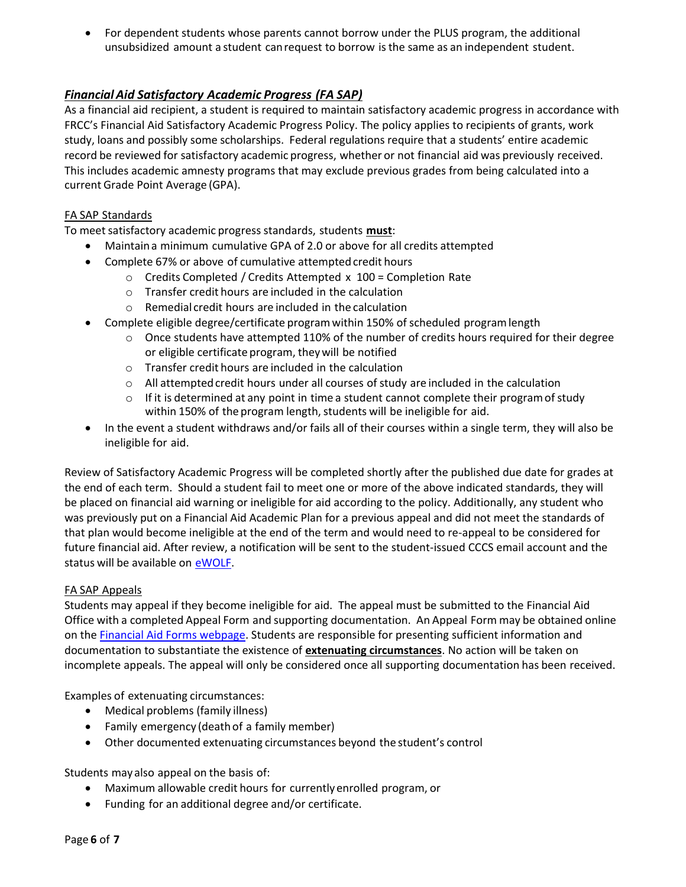• For dependent students whose parents cannot borrow under the PLUS program, the additional unsubsidized amount a student canrequest to borrow isthe same as an independent student.

# *FinancialAid Satisfactory Academic Progress (FA SAP)*

As a financial aid recipient, a student is required to maintain satisfactory academic progress in accordance with FRCC's Financial Aid Satisfactory Academic Progress Policy. The policy applies to recipients of grants, work study, loans and possibly some scholarships. Federal regulations require that a students' entire academic record be reviewed for satisfactory academic progress, whether or not financial aid was previously received. This includes academic amnesty programs that may exclude previous grades from being calculated into a current Grade Point Average (GPA).

### FA SAP Standards

To meet satisfactory academic progress standards, students **must**:

- Maintaina minimum cumulative GPA of 2.0 or above for all credits attempted
- Complete 67% or above of cumulative attempted credit hours
	- o Credits Completed / Credits Attempted x 100 = Completion Rate
	- o Transfer credit hours are included in the calculation
	- o Remedial credit hours are included in the calculation
- Complete eligible degree/certificate programwithin 150% of scheduled programlength
	- $\circ$  Once students have attempted 110% of the number of credits hours required for their degree or eligible certificate program, theywill be notified
	- o Transfer credit hours are included in the calculation
	- $\circ$  All attempted credit hours under all courses of study are included in the calculation
	- $\circ$  If it is determined at any point in time a student cannot complete their program of study within 150% of the program length, students will be ineligible for aid.
- In the event a student withdraws and/or fails all of their courses within a single term, they will also be ineligible for aid.

Review of Satisfactory Academic Progress will be completed shortly after the published due date for grades at the end of each term. Should a student fail to meet one or more of the above indicated standards, they will be placed on financial aid warning or ineligible for aid according to the policy. Additionally, any student who was previously put on a Financial Aid Academic Plan for a previous appeal and did not meet the standards of that plan would become ineligible at the end of the term and would need to re-appeal to be considered for future financial aid. After review, a notification will be sent to the student-issued CCCS email account and the status will be available on [eWOLF.](https://myportal.cccs.edu/jsp/misc/schoolLoginNew.jsp?school=frcc)

#### FA SAP Appeals

Students may appeal if they become ineligible for aid. The appeal must be submitted to the Financial Aid Office with a completed Appeal Form and supporting documentation. An Appeal Form may be obtained online on the [Financial Aid Forms webpage.](https://www.frontrange.edu/paying-for-college/financial-aid/forms) Students are responsible for presenting sufficient information and documentation to substantiate the existence of **extenuating circumstances**. No action will be taken on incomplete appeals. The appeal will only be considered once all supporting documentation has been received.

Examples of extenuating circumstances:

- Medical problems (family illness)
- Family emergency (deathof a family member)
- Other documented extenuating circumstances beyond the student's control

Students may also appeal on the basis of:

- Maximum allowable credit hours for currentlyenrolled program, or
- Funding for an additional degree and/or certificate.